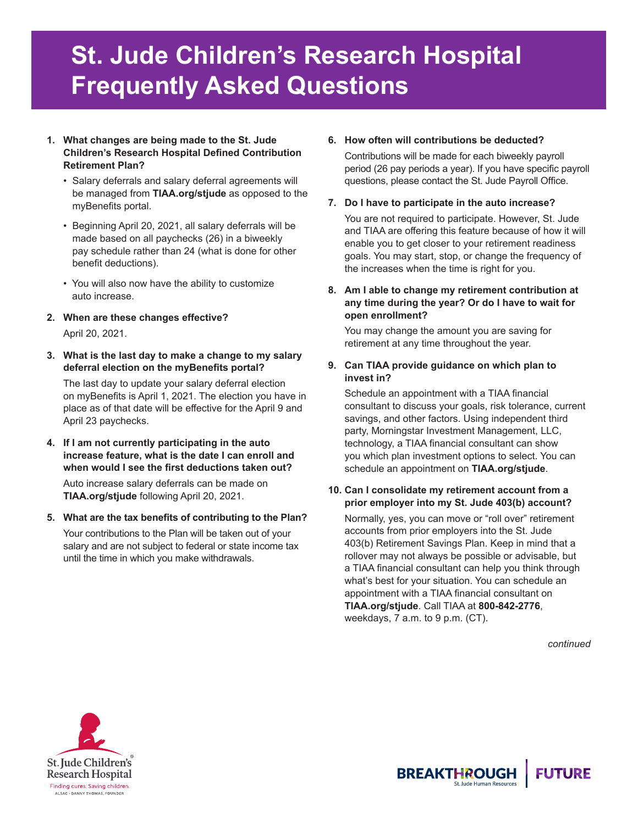# **St. Jude Children's Research Hospital Frequently Asked Questions**

#### **1. What changes are being made to the St. Jude Children's Research Hospital Defined Contribution Retirement Plan?**

- Salary deferrals and salary deferral agreements will be managed from **TIAA.org/stjude** as opposed to the myBenefits portal.
- Beginning April 20, 2021, all salary deferrals will be made based on all paychecks (26) in a biweekly pay schedule rather than 24 (what is done for other benefit deductions).
- You will also now have the ability to customize auto increase.
- **2. When are these changes effective?** April 20, 2021.
- **3. What is the last day to make a change to my salary deferral election on the myBenefits portal?**

The last day to update your salary deferral election on myBenefits is April 1, 2021. The election you have in place as of that date will be effective for the April 9 and April 23 paychecks.

**4. If I am not currently participating in the auto increase feature, what is the date I can enroll and when would I see the first deductions taken out?**

Auto increase salary deferrals can be made on **TIAA.org/stjude** following April 20, 2021.

**5. What are the tax benefits of contributing to the Plan?**  Your contributions to the Plan will be taken out of your salary and are not subject to federal or state income tax until the time in which you make withdrawals.

# **6. How often will contributions be deducted?**

Contributions will be made for each biweekly payroll period (26 pay periods a year). If you have specific payroll questions, please contact the St. Jude Payroll Office.

## **7. Do I have to participate in the auto increase?**

You are not required to participate. However, St. Jude and TIAA are offering this feature because of how it will enable you to get closer to your retirement readiness goals. You may start, stop, or change the frequency of the increases when the time is right for you.

#### **8. Am I able to change my retirement contribution at any time during the year? Or do I have to wait for open enrollment?**

You may change the amount you are saving for retirement at any time throughout the year.

## **9. Can TIAA provide guidance on which plan to invest in?**

Schedule an appointment with a TIAA financial consultant to discuss your goals, risk tolerance, current savings, and other factors. Using independent third party, Morningstar Investment Management, LLC, technology, a TIAA financial consultant can show you which plan investment options to select. You can schedule an appointment on **TIAA.org/stjude**.

#### **10. Can I consolidate my retirement account from a prior employer into my St. Jude 403(b) account?**

Normally, yes, you can move or "roll over" retirement accounts from prior employers into the St. Jude 403(b) Retirement Savings Plan. Keep in mind that a rollover may not always be possible or advisable, but a TIAA financial consultant can help you think through what's best for your situation. You can schedule an appointment with a TIAA financial consultant on **TIAA.org/stjude**. Call TIAA at **800-842-2776**, weekdays, 7 a.m. to 9 p.m. (CT).

*continued*